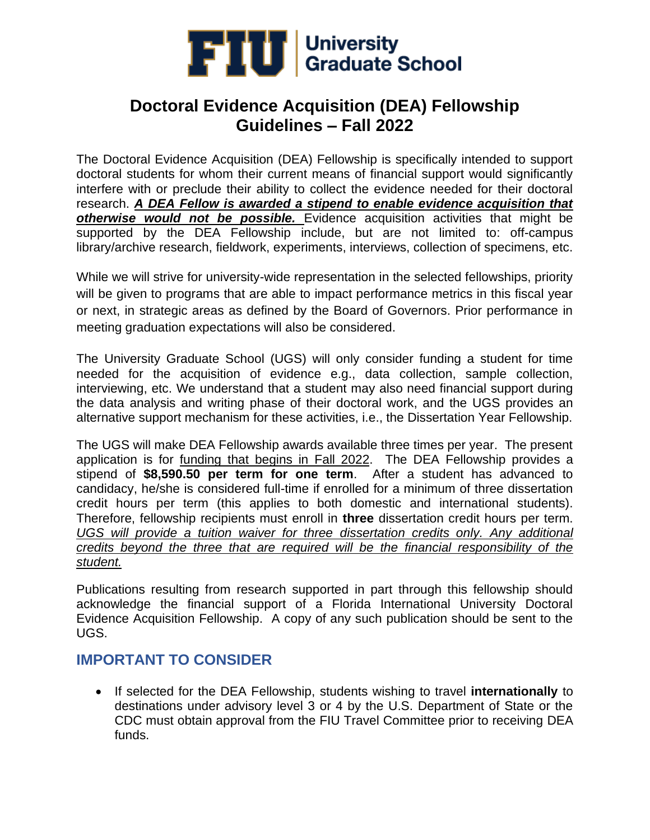

The Doctoral Evidence Acquisition (DEA) Fellowship is specifically intended to support doctoral students for whom their current means of financial support would significantly interfere with or preclude their ability to collect the evidence needed for their doctoral research. *A DEA Fellow is awarded a stipend to enable evidence acquisition that otherwise would not be possible.* Evidence acquisition activities that might be supported by the DEA Fellowship include, but are not limited to: off-campus library/archive research, fieldwork, experiments, interviews, collection of specimens, etc.

While we will strive for university-wide representation in the selected fellowships, priority will be given to programs that are able to impact performance metrics in this fiscal year or next, in strategic areas as defined by the Board of Governors. Prior performance in meeting graduation expectations will also be considered.

The University Graduate School (UGS) will only consider funding a student for time needed for the acquisition of evidence e.g., data collection, sample collection, interviewing, etc. We understand that a student may also need financial support during the data analysis and writing phase of their doctoral work, and the UGS provides an alternative support mechanism for these activities, i.e., the Dissertation Year Fellowship.

The UGS will make DEA Fellowship awards available three times per year. The present application is for funding that begins in Fall 2022. The DEA Fellowship provides a stipend of **\$8,590.50 per term for one term**. After a student has advanced to candidacy, he/she is considered full-time if enrolled for a minimum of three dissertation credit hours per term (this applies to both domestic and international students). Therefore, fellowship recipients must enroll in **three** dissertation credit hours per term. *UGS will provide a tuition waiver for three dissertation credits only. Any additional credits beyond the three that are required will be the financial responsibility of the student.*

Publications resulting from research supported in part through this fellowship should acknowledge the financial support of a Florida International University Doctoral Evidence Acquisition Fellowship. A copy of any such publication should be sent to the UGS.

### **IMPORTANT TO CONSIDER**

• If selected for the DEA Fellowship, students wishing to travel **internationally** to destinations under advisory level 3 or 4 by the U.S. Department of State or the CDC must obtain approval from the FIU Travel Committee prior to receiving DEA funds.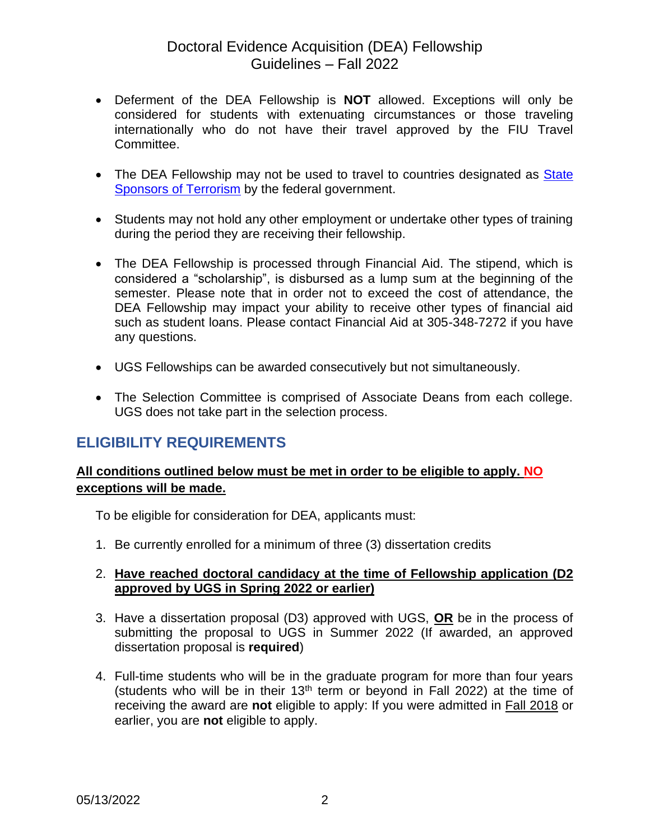- Deferment of the DEA Fellowship is **NOT** allowed. Exceptions will only be considered for students with extenuating circumstances or those traveling internationally who do not have their travel approved by the FIU Travel Committee.
- The DEA Fellowship may not be used to travel to countries designated as **State** Sponsors [of Terrorism](https://www.state.gov/state-sponsors-of-terrorism/) by the federal government.
- Students may not hold any other employment or undertake other types of training during the period they are receiving their fellowship.
- The DEA Fellowship is processed through Financial Aid. The stipend, which is considered a "scholarship", is disbursed as a lump sum at the beginning of the semester. Please note that in order not to exceed the cost of attendance, the DEA Fellowship may impact your ability to receive other types of financial aid such as student loans. Please contact Financial Aid at 305-348-7272 if you have any questions.
- UGS Fellowships can be awarded consecutively but not simultaneously.
- The Selection Committee is comprised of Associate Deans from each college. UGS does not take part in the selection process.

### **ELIGIBILITY REQUIREMENTS**

#### **All conditions outlined below must be met in order to be eligible to apply. NO exceptions will be made.**

To be eligible for consideration for DEA, applicants must:

1. Be currently enrolled for a minimum of three (3) dissertation credits

#### 2. **Have reached doctoral candidacy at the time of Fellowship application (D2 approved by UGS in Spring 2022 or earlier)**

- 3. Have a dissertation proposal (D3) approved with UGS, **OR** be in the process of submitting the proposal to UGS in Summer 2022 (If awarded, an approved dissertation proposal is **required**)
- 4. Full-time students who will be in the graduate program for more than four years (students who will be in their  $13<sup>th</sup>$  term or beyond in Fall 2022) at the time of receiving the award are **not** eligible to apply: If you were admitted in Fall 2018 or earlier, you are **not** eligible to apply.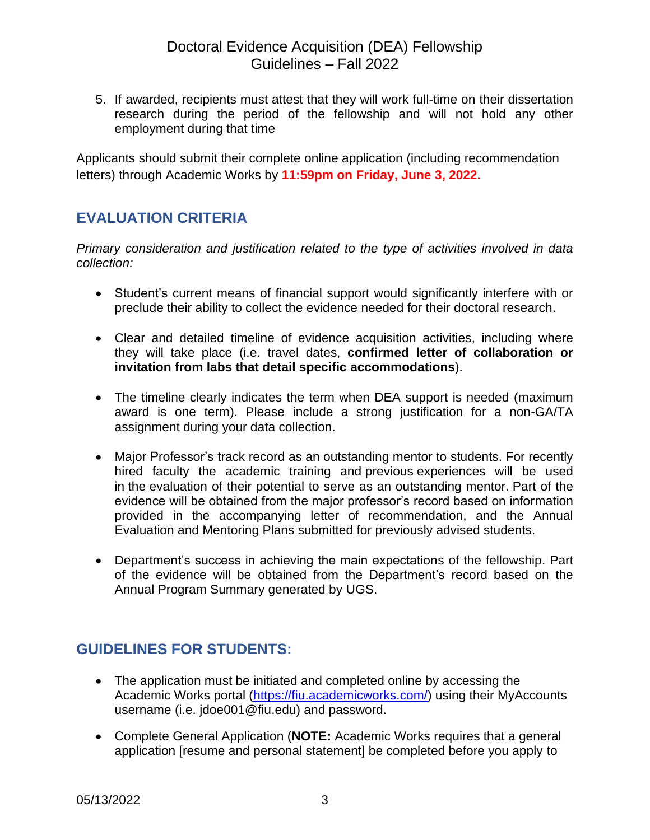5. If awarded, recipients must attest that they will work full-time on their dissertation research during the period of the fellowship and will not hold any other employment during that time

Applicants should submit their complete online application (including recommendation letters) through Academic Works by **11:59pm on Friday, June 3, 2022.**

## **EVALUATION CRITERIA**

*Primary consideration and justification related to the type of activities involved in data collection:*

- Student's current means of financial support would significantly interfere with or preclude their ability to collect the evidence needed for their doctoral research.
- Clear and detailed timeline of evidence acquisition activities, including where they will take place (i.e. travel dates, **confirmed letter of collaboration or invitation from labs that detail specific accommodations**).
- The timeline clearly indicates the term when DEA support is needed (maximum award is one term). Please include a strong justification for a non-GA/TA assignment during your data collection.
- Major Professor's track record as an outstanding mentor to students. For recently hired faculty the academic training and previous experiences will be used in the evaluation of their potential to serve as an outstanding mentor. Part of the evidence will be obtained from the major professor's record based on information provided in the accompanying letter of recommendation, and the Annual Evaluation and Mentoring Plans submitted for previously advised students.
- Department's success in achieving the main expectations of the fellowship. Part of the evidence will be obtained from the Department's record based on the Annual Program Summary generated by UGS.

## **GUIDELINES FOR STUDENTS:**

- The application must be initiated and completed online by accessing the Academic Works portal [\(https://fiu.academicworks.com/\)](https://fiu.academicworks.com/) using their MyAccounts username (i.e. jdoe001@fiu.edu) and password.
- Complete General Application (**NOTE:** Academic Works requires that a general application [resume and personal statement] be completed before you apply to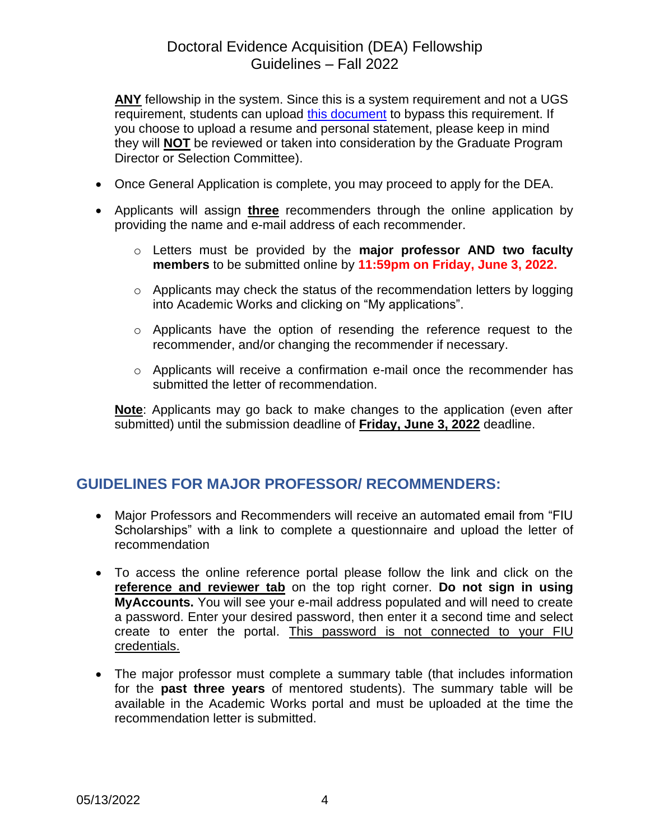**ANY** fellowship in the system. Since this is a system requirement and not a UGS requirement, students can upload [this document](http://gradschool.fiu.edu/wp-content/uploads/2018/10/CV-and-Personal-Statement-NOT-APPLICABLE.pdf) to bypass this requirement. If you choose to upload a resume and personal statement, please keep in mind they will **NOT** be reviewed or taken into consideration by the Graduate Program Director or Selection Committee).

- Once General Application is complete, you may proceed to apply for the DEA.
- Applicants will assign **three** recommenders through the online application by providing the name and e-mail address of each recommender.
	- o Letters must be provided by the **major professor AND two faculty members** to be submitted online by **11:59pm on Friday, June 3, 2022.**
	- o Applicants may check the status of the recommendation letters by logging into Academic Works and clicking on "My applications".
	- o Applicants have the option of resending the reference request to the recommender, and/or changing the recommender if necessary.
	- o Applicants will receive a confirmation e-mail once the recommender has submitted the letter of recommendation.

**Note**: Applicants may go back to make changes to the application (even after submitted) until the submission deadline of **Friday, June 3, 2022** deadline.

### **GUIDELINES FOR MAJOR PROFESSOR/ RECOMMENDERS:**

- Major Professors and Recommenders will receive an automated email from "FIU Scholarships" with a link to complete a questionnaire and upload the letter of recommendation
- To access the online reference portal please follow the link and click on the **reference and reviewer tab** on the top right corner. **Do not sign in using MyAccounts.** You will see your e-mail address populated and will need to create a password. Enter your desired password, then enter it a second time and select create to enter the portal. This password is not connected to your FIU credentials.
- The major professor must complete a summary table (that includes information for the **past three years** of mentored students). The summary table will be available in the Academic Works portal and must be uploaded at the time the recommendation letter is submitted.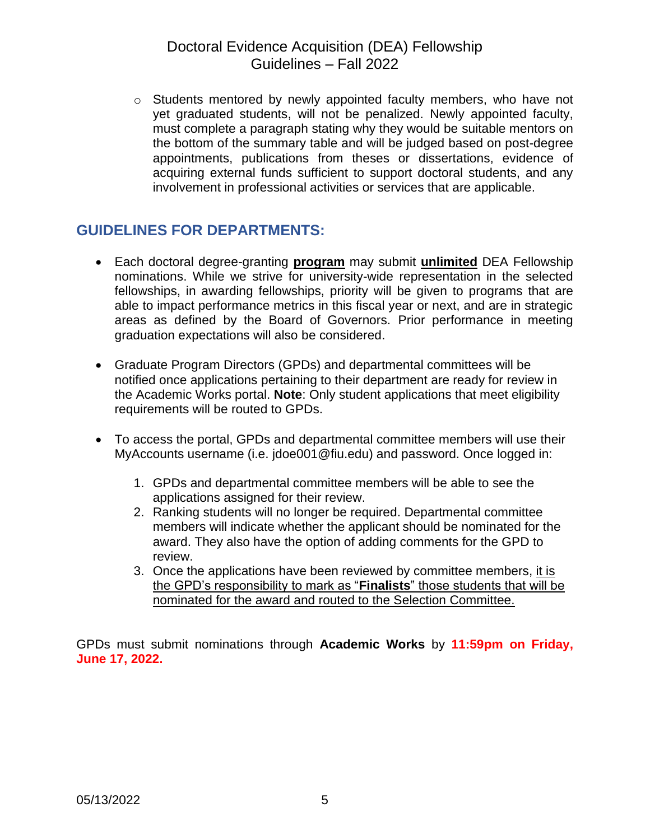o Students mentored by newly appointed faculty members, who have not yet graduated students, will not be penalized. Newly appointed faculty, must complete a paragraph stating why they would be suitable mentors on the bottom of the summary table and will be judged based on post-degree appointments, publications from theses or dissertations, evidence of acquiring external funds sufficient to support doctoral students, and any involvement in professional activities or services that are applicable.

#### **GUIDELINES FOR DEPARTMENTS:**

- Each doctoral degree-granting **program** may submit **unlimited** DEA Fellowship nominations. While we strive for university-wide representation in the selected fellowships, in awarding fellowships, priority will be given to programs that are able to impact performance metrics in this fiscal year or next, and are in strategic areas as defined by the Board of Governors. Prior performance in meeting graduation expectations will also be considered.
- Graduate Program Directors (GPDs) and departmental committees will be notified once applications pertaining to their department are ready for review in the Academic Works portal. **Note**: Only student applications that meet eligibility requirements will be routed to GPDs.
- To access the portal, GPDs and departmental committee members will use their MyAccounts username (i.e. jdoe001@fiu.edu) and password. Once logged in:
	- 1. GPDs and departmental committee members will be able to see the applications assigned for their review.
	- 2. Ranking students will no longer be required. Departmental committee members will indicate whether the applicant should be nominated for the award. They also have the option of adding comments for the GPD to review.
	- 3. Once the applications have been reviewed by committee members, it is the GPD's responsibility to mark as "**Finalists**" those students that will be nominated for the award and routed to the Selection Committee.

GPDs must submit nominations through **Academic Works** by **11:59pm on Friday, June 17, 2022.**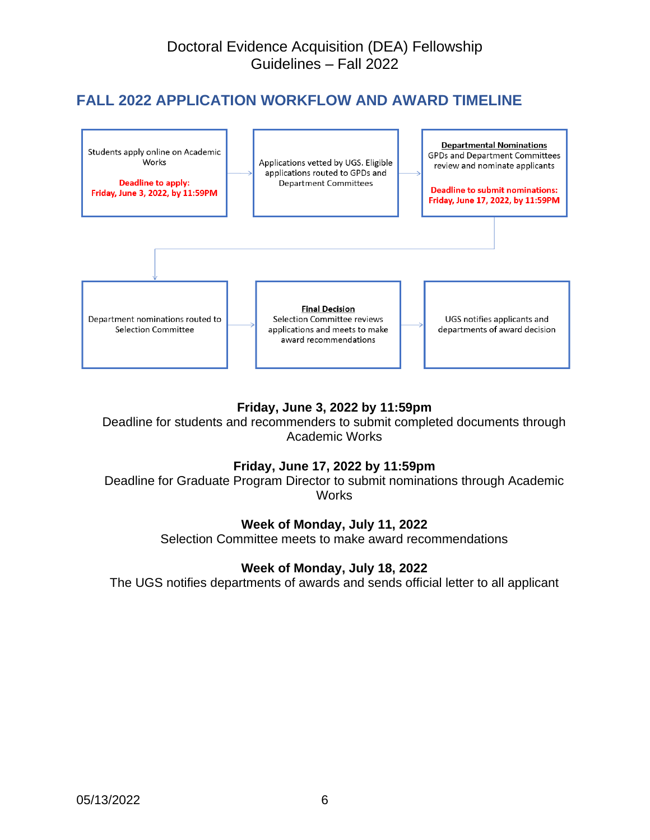# **FALL 2022 APPLICATION WORKFLOW AND AWARD TIMELINE**



#### **Friday, June 3, 2022 by 11:59pm**

Deadline for students and recommenders to submit completed documents through Academic Works

#### **Friday, June 17, 2022 by 11:59pm**

Deadline for Graduate Program Director to submit nominations through Academic **Works** 

#### **Week of Monday, July 11, 2022**

Selection Committee meets to make award recommendations

#### **Week of Monday, July 18, 2022**

The UGS notifies departments of awards and sends official letter to all applicant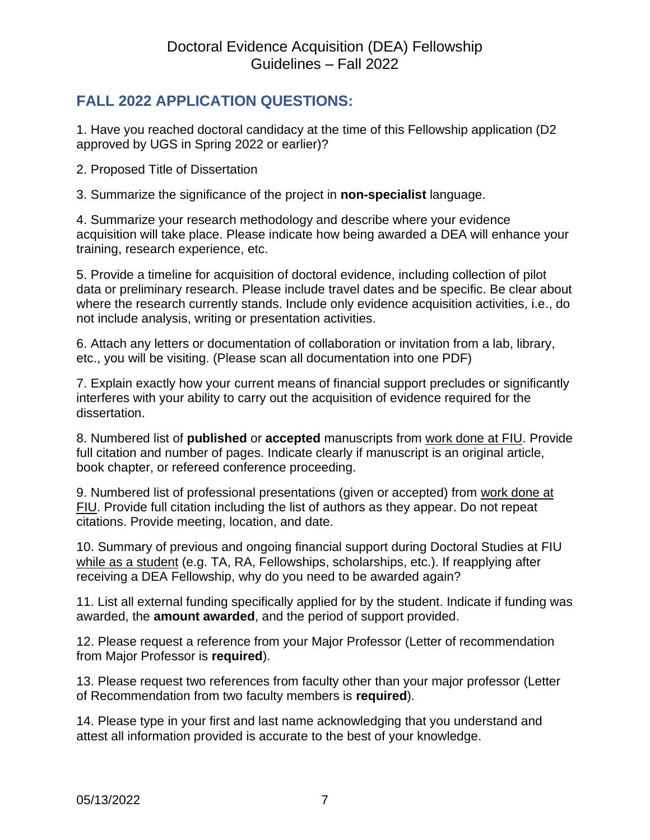# **FALL 2022 APPLICATION QUESTIONS:**

1. Have you reached doctoral candidacy at the time of this Fellowship application (D2 approved by UGS in Spring 2022 or earlier)?

2. Proposed Title of Dissertation

3. Summarize the significance of the project in **non-specialist** language.

4. Summarize your research methodology and describe where your evidence acquisition will take place. Please indicate how being awarded a DEA will enhance your training, research experience, etc.

5. Provide a timeline for acquisition of doctoral evidence, including collection of pilot data or preliminary research. Please include travel dates and be specific. Be clear about where the research currently stands. Include only evidence acquisition activities, i.e., do not include analysis, writing or presentation activities.

6. Attach any letters or documentation of collaboration or invitation from a lab, library, etc., you will be visiting. (Please scan all documentation into one PDF)

7. Explain exactly how your current means of financial support precludes or significantly interferes with your ability to carry out the acquisition of evidence required for the dissertation.

8. Numbered list of **published** or **accepted** manuscripts from work done at FIU. Provide full citation and number of pages. Indicate clearly if manuscript is an original article, book chapter, or refereed conference proceeding.

9. Numbered list of professional presentations (given or accepted) from work done at FIU. Provide full citation including the list of authors as they appear. Do not repeat citations. Provide meeting, location, and date.

10. Summary of previous and ongoing financial support during Doctoral Studies at FIU while as a student (e.g. TA, RA, Fellowships, scholarships, etc.). If reapplying after receiving a DEA Fellowship, why do you need to be awarded again?

11. List all external funding specifically applied for by the student. Indicate if funding was awarded, the **amount awarded**, and the period of support provided.

12. Please request a reference from your Major Professor (Letter of recommendation from Major Professor is **required**).

13. Please request two references from faculty other than your major professor (Letter of Recommendation from two faculty members is **required**).

14. Please type in your first and last name acknowledging that you understand and attest all information provided is accurate to the best of your knowledge.